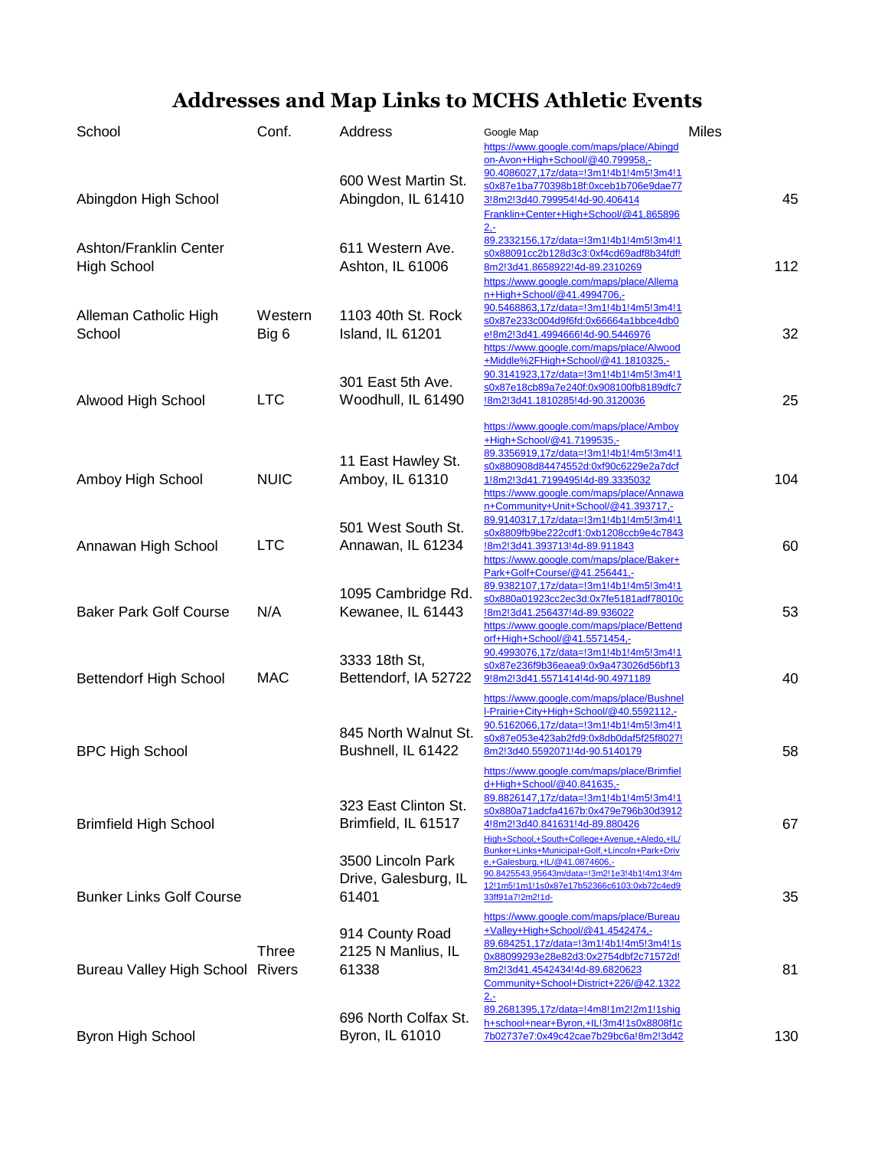## **Addresses and Map Links to MCHS Athletic Events**

| School                                       | Conf.            | Address                                            | Google Map<br>https://www.google.com/maps/place/Abingd                                                                                                                                                                                                                           | <b>Miles</b> |
|----------------------------------------------|------------------|----------------------------------------------------|----------------------------------------------------------------------------------------------------------------------------------------------------------------------------------------------------------------------------------------------------------------------------------|--------------|
| Abingdon High School                         |                  | 600 West Martin St.<br>Abingdon, IL 61410          | on-Avon+High+School/@40.799958,-<br>90.4086027,17z/data=!3m1!4b1!4m5!3m4!1<br>s0x87e1ba770398b18f:0xceb1b706e9dae77<br>3!8m2!3d40.799954!4d-90.406414<br>Franklin+Center+High+School/@41.865896                                                                                  | 45           |
| Ashton/Franklin Center<br><b>High School</b> |                  | 611 Western Ave.<br>Ashton, IL 61006               | 2 <sub>z</sub><br>89.2332156,17z/data=!3m1!4b1!4m5!3m4!1<br>s0x88091cc2b128d3c3:0xf4cd69adf8b34fdf!<br>8m2!3d41.8658922!4d-89.2310269<br>https://www.google.com/maps/place/Allema<br>n+High+School/@41.4994706,-                                                                 | 112          |
| Alleman Catholic High<br>School              | Western<br>Big 6 | 1103 40th St. Rock<br>Island, IL 61201             | 90.5468863,17z/data=!3m1!4b1!4m5!3m4!1<br>s0x87e233c004d9f6fd:0x66664a1bbce4db0<br>e!8m2!3d41.4994666!4d-90.5446976<br>https://www.google.com/maps/place/Alwood<br>+Middle%2FHigh+School/@41.1810325,-                                                                           | 32           |
| Alwood High School                           | <b>LTC</b>       | 301 East 5th Ave.<br>Woodhull, IL 61490            | 90.3141923,17z/data=!3m1!4b1!4m5!3m4!1<br>s0x87e18cb89a7e240f:0x908100fb8189dfc7<br>l8m2l3d41.1810285l4d-90.3120036                                                                                                                                                              | 25           |
| Amboy High School                            | <b>NUIC</b>      | 11 East Hawley St.<br>Amboy, IL 61310              | https://www.google.com/maps/place/Amboy<br>+High+School/@41.7199535,-<br>89.3356919,17z/data=!3m1!4b1!4m5!3m4!1<br>s0x880908d84474552d:0xf90c6229e2a7dcf<br>1!8m2!3d41.7199495!4d-89.3335032<br>https://www.google.com/maps/place/Annawa<br>n+Community+Unit+School/@41.393717,- | 104          |
| Annawan High School                          | <b>LTC</b>       | 501 West South St.<br>Annawan, IL 61234            | 89.9140317,17z/data=!3m1!4b1!4m5!3m4!1<br>s0x8809fb9be222cdf1:0xb1208ccb9e4c7843<br>!8m2!3d41.393713!4d-89.911843<br>https://www.google.com/maps/place/Baker+                                                                                                                    | 60           |
| <b>Baker Park Golf Course</b>                | N/A              | 1095 Cambridge Rd.<br>Kewanee, IL 61443            | Park+Golf+Course/@41.256441,-<br>89.9382107,17z/data=!3m1!4b1!4m5!3m4!1<br>s0x880a01923cc2ec3d:0x7fe5181adf78010c<br>l8m2l3d41.256437!4d-89.936022<br>https://www.google.com/maps/place/Bettend<br>orf+High+School/@41.5571454,-                                                 | 53           |
| <b>Bettendorf High School</b>                | <b>MAC</b>       | 3333 18th St,<br>Bettendorf, IA 52722              | 90.4993076,17z/data=!3m1!4b1!4m5!3m4!1<br>s0x87e236f9b36eaea9:0x9a473026d56bf13<br>9!8m2!3d41.5571414!4d-90.4971189                                                                                                                                                              | 40           |
| <b>BPC High School</b>                       |                  | 845 North Walnut St.<br>Bushnell, IL 61422         | https://www.google.com/maps/place/Bushnel<br>I-Prairie+City+High+School/@40.5592112,-<br>90.5162066,17z/data=!3m1!4b1!4m5!3m4!1<br>s0x87e053e423ab2fd9:0x8db0daf5f25f8027!<br>8m2!3d40.5592071!4d-90.5140179                                                                     | 58           |
| <b>Brimfield High School</b>                 |                  | 323 East Clinton St.<br>Brimfield, IL 61517        | https://www.google.com/maps/place/Brimfiel<br>d+High+School/@40.841635,-<br>89.8826147,17z/data=!3m1!4b1!4m5!3m4!1<br>s0x880a71adcfa4167b:0x479e796b30d3912<br>4!8m2!3d40.841631!4d-89.880426<br>High+School,+South+College+Avenue,+Aledo,+IL/                                   | 67           |
| <b>Bunker Links Golf Course</b>              |                  | 3500 Lincoln Park<br>Drive, Galesburg, IL<br>61401 | Bunker+Links+Municipal+Golf,+Lincoln+Park+Driv<br>e.+Galesburg.+IL/@41.0874606.-<br>90.8425543,95643m/data=!3m2!1e3!4b1!4m13!4m<br>12!1m5!1m1!1s0x87e17b52366c6103:0xb72c4ed9<br>33ff91a7!2m2!1d-                                                                                | 35           |
| <b>Bureau Valley High School Rivers</b>      | <b>Three</b>     | 914 County Road<br>2125 N Manlius, IL<br>61338     | https://www.google.com/maps/place/Bureau<br>+Valley+High+School/@41.4542474,-<br>89.684251,17z/data=!3m1!4b1!4m5!3m4!1s<br>0x88099293e28e82d3:0x2754dbf2c71572d!<br>8m2!3d41.4542434!4d-89.6820623<br>Community+School+District+226/@42.1322<br><u> 2.-</u>                      | 81           |
| <b>Byron High School</b>                     |                  | 696 North Colfax St.<br>Byron, IL 61010            | 89.2681395,17z/data=!4m8!1m2!2m1!1shiq<br>h+school+near+Byron,+IL!3m4!1s0x8808f1c<br>7b02737e7:0x49c42cae7b29bc6a!8m2!3d42                                                                                                                                                       | 130          |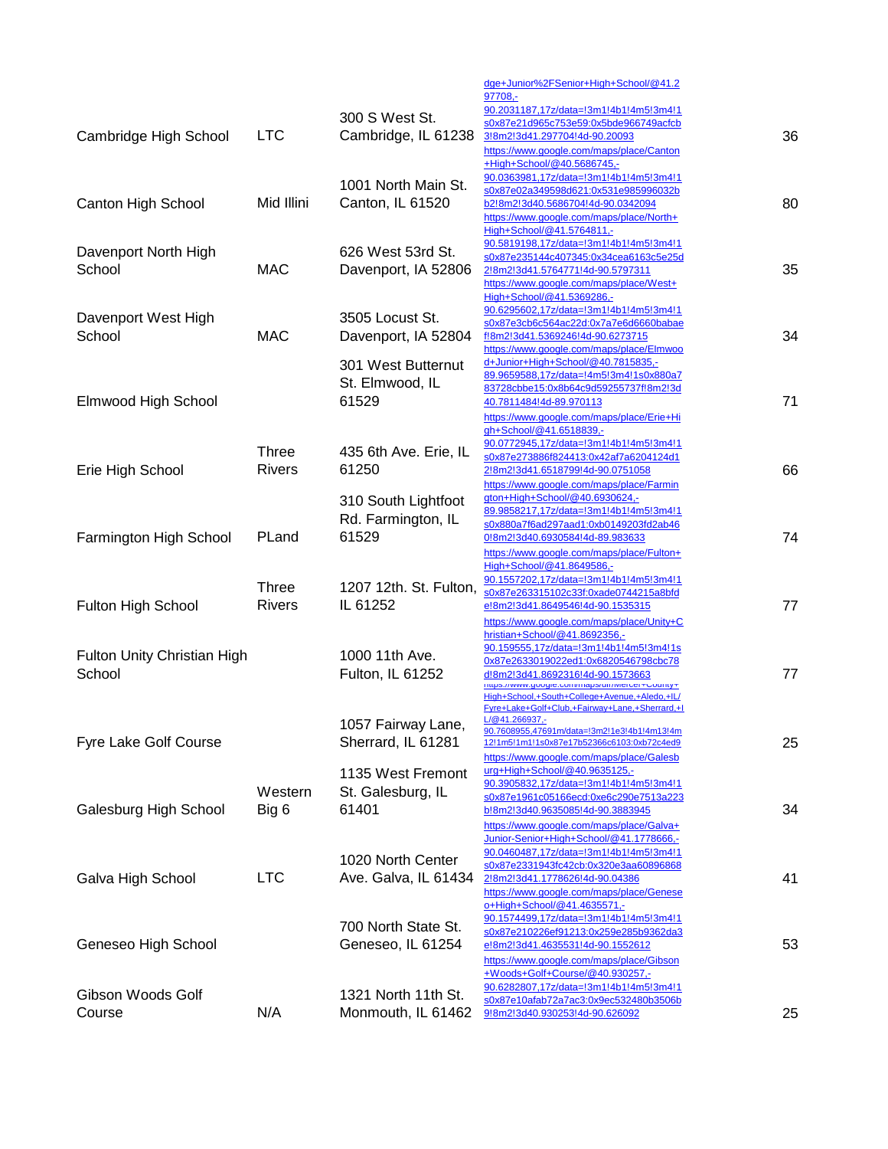|                                       |                               |                                                    | dge+Junior%2FSenior+High+School/@41.2<br>97708,-<br>90.2031187,17z/data=!3m1!4b1!4m5!3m4!1                                                                                                                                              |    |
|---------------------------------------|-------------------------------|----------------------------------------------------|-----------------------------------------------------------------------------------------------------------------------------------------------------------------------------------------------------------------------------------------|----|
| Cambridge High School                 | <b>LTC</b>                    | 300 S West St.<br>Cambridge, IL 61238              | s0x87e21d965c753e59:0x5bde966749acfcb<br>3!8m2!3d41.297704!4d-90.20093<br>https://www.google.com/maps/place/Canton<br>+High+School/@40.5686745,-                                                                                        | 36 |
| Canton High School                    | Mid Illini                    | 1001 North Main St.<br>Canton, IL 61520            | 90.0363981,17z/data=!3m1!4b1!4m5!3m4!1<br>s0x87e02a349598d621:0x531e985996032b<br>b2!8m2!3d40.5686704!4d-90.0342094<br>https://www.google.com/maps/place/North+<br>High+School/@41.5764811,-                                            | 80 |
| Davenport North High<br>School        | <b>MAC</b>                    | 626 West 53rd St.<br>Davenport, IA 52806           | 90.5819198,17z/data=!3m1!4b1!4m5!3m4!1<br>s0x87e235144c407345:0x34cea6163c5e25d<br>2!8m2!3d41.5764771!4d-90.5797311<br>https://www.google.com/maps/place/West+<br>High+School/@41.5369286,-                                             | 35 |
| Davenport West High<br>School         | <b>MAC</b>                    | 3505 Locust St.<br>Davenport, IA 52804             | 90.6295602,17z/data=!3m1!4b1!4m5!3m4!1<br>s0x87e3cb6c564ac22d:0x7a7e6d6660babae<br>f!8m2!3d41.5369246!4d-90.6273715<br>https://www.google.com/maps/place/Elmwoo<br>d+Junior+High+School/@40.7815835,-                                   | 34 |
| Elmwood High School                   |                               | 301 West Butternut<br>St. Elmwood, IL<br>61529     | 89.9659588,17z/data=!4m5!3m4!1s0x880a7<br>83728cbbe15:0x8b64c9d59255737f!8m2!3d<br>40.7811484!4d-89.970113<br>https://www.google.com/maps/place/Erie+Hi<br>gh+School/@41.6518839,-                                                      | 71 |
| Erie High School                      | <b>Three</b><br><b>Rivers</b> | 435 6th Ave. Erie, IL<br>61250                     | 90.0772945,17z/data=!3m1!4b1!4m5!3m4!1<br>s0x87e273886f824413:0x42af7a6204124d1<br>2!8m2!3d41.6518799!4d-90.0751058<br>https://www.google.com/maps/place/Farmin                                                                         | 66 |
| Farmington High School                | PLand                         | 310 South Lightfoot<br>Rd. Farmington, IL<br>61529 | gton+High+School/@40.6930624.-<br>89.9858217,17z/data=!3m1!4b1!4m5!3m4!1<br>s0x880a7f6ad297aad1:0xb0149203fd2ab46<br>0!8m2!3d40.6930584!4d-89.983633<br>https://www.google.com/maps/place/Fulton+<br>High+School/@41.8649586,-          | 74 |
| Fulton High School                    | <b>Three</b><br><b>Rivers</b> | 1207 12th. St. Fulton,<br>IL 61252                 | 90.1557202,17z/data=!3m1!4b1!4m5!3m4!1<br>s0x87e263315102c33f:0xade0744215a8bfd<br>e!8m2!3d41.8649546!4d-90.1535315<br>https://www.google.com/maps/place/Unity+C<br>hristian+School/@41.8692356,-                                       | 77 |
| Fulton Unity Christian High<br>School |                               | 1000 11th Ave.<br>Fulton, IL 61252                 | 90.159555,17z/data=!3m1!4b1!4m5!3m4!1s<br>0x87e2633019022ed1:0x6820546798cbc78<br>d!8m2!3d41.8692316!4d-90.1573663<br>nups://www.google.com/maps/dif/iviercer+County+<br>High+School,+South+College+Avenue,+Aledo,+IL/                  | 77 |
| Fyre Lake Golf Course                 |                               | 1057 Fairway Lane,<br>Sherrard, IL 61281           | Fyre+Lake+Golf+Club,+Fairway+Lane,+Sherrard,+I<br>L/@41.266937,-<br>90.7608955,47691m/data=!3m2!1e3!4b1!4m13!4m<br>12!1m5!1m1!1s0x87e17b52366c6103:0xb72c4ed9<br>https://www.google.com/maps/place/Galesb                               | 25 |
| Galesburg High School                 | Western<br>Big 6              | 1135 West Fremont<br>St. Galesburg, IL<br>61401    | urg+High+School/@40.9635125,-<br>90.3905832,17z/data=!3m1!4b1!4m5!3m4!1<br>s0x87e1961c05166ecd:0xe6c290e7513a223<br>b!8m2!3d40.9635085!4d-90.3883945<br>https://www.google.com/maps/place/Galva+                                        | 34 |
| Galva High School                     | <b>LTC</b>                    | 1020 North Center<br>Ave. Galva, IL 61434          | Junior-Senior+High+School/@41.1778666,-<br>90.0460487,17z/data=!3m1!4b1!4m5!3m4!1<br>s0x87e2331943fc42cb:0x320e3aa60896868<br>2!8m2!3d41.1778626!4d-90.04386<br>https://www.google.com/maps/place/Genese<br>o+High+School/@41.4635571,- | 41 |
| Geneseo High School                   |                               | 700 North State St.<br>Geneseo, IL 61254           | 90.1574499,17z/data=!3m1!4b1!4m5!3m4!1<br>s0x87e210226ef91213:0x259e285b9362da3<br>e!8m2!3d41.4635531!4d-90.1552612<br>https://www.google.com/maps/place/Gibson                                                                         | 53 |
| Gibson Woods Golf<br>Course           | N/A                           | 1321 North 11th St.<br>Monmouth, IL 61462          | +Woods+Golf+Course/@40.930257,-<br>90.6282807,17z/data=!3m1!4b1!4m5!3m4!1<br>s0x87e10afab72a7ac3:0x9ec532480b3506b<br>9!8m2!3d40.930253!4d-90.626092                                                                                    | 25 |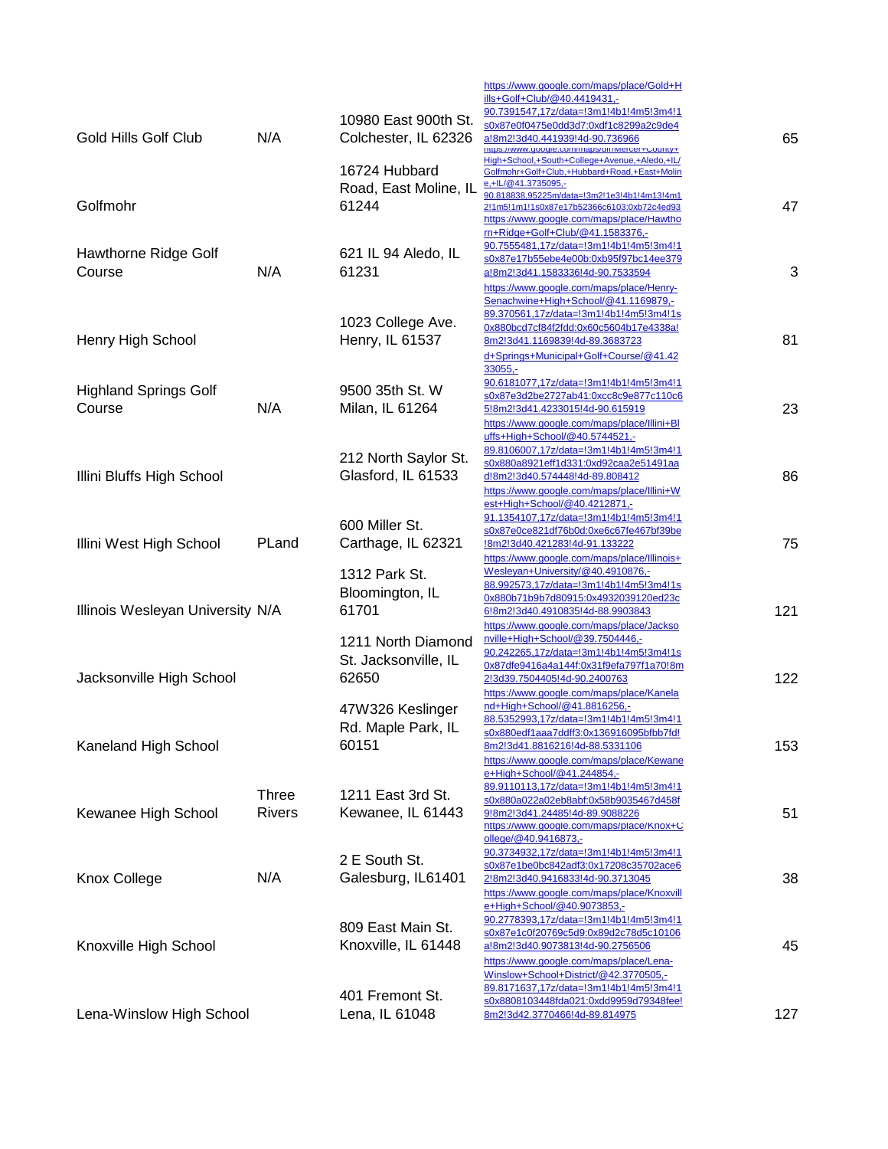|                                        |               | 10980 East 900th St.                                | https://www.google.com/maps/place/Gold+H<br>ills+Golf+Club/@40.4419431,-<br>90.7391547,17z/data=!3m1!4b1!4m5!3m4!1<br>s0x87e0f0475e0dd3d7:0xdf1c8299a2c9de4                                                  |     |
|----------------------------------------|---------------|-----------------------------------------------------|--------------------------------------------------------------------------------------------------------------------------------------------------------------------------------------------------------------|-----|
| Gold Hills Golf Club                   | N/A           | Colchester, IL 62326                                | a!8m2!3d40.441939!4d-90.736966<br>nups://www.google.com/maps/gir/iviercer+County+<br>High+School,+South+College+Avenue,+Aledo,+IL/                                                                           | 65  |
| Golfmohr                               |               | 16724 Hubbard<br>Road, East Moline, IL<br>61244     | Golfmohr+Golf+Club,+Hubbard+Road,+East+Molin<br>e,+IL/@41.3735095,-<br>90.818838,95225m/data=!3m2!1e3!4b1!4m13!4m1<br>2!1m5!1m1!1s0x87e17b52366c6103:0xb72c4ed93<br>https://www.google.com/maps/place/Hawtho | 47  |
| Hawthorne Ridge Golf<br>Course         | N/A           | 621 IL 94 Aledo, IL<br>61231                        | rn+Ridge+Golf+Club/@41.1583376,-<br>90.7555481,17z/data=!3m1!4b1!4m5!3m4!1<br>s0x87e17b55ebe4e00b:0xb95f97bc14ee379<br>a!8m2!3d41.1583336!4d-90.7533594<br>https://www.google.com/maps/place/Henry-          | 3   |
| Henry High School                      |               | 1023 College Ave.<br>Henry, IL 61537                | Senachwine+High+School/@41.1169879,-<br>89.370561,17z/data=!3m1!4b1!4m5!3m4!1s<br>0x880bcd7cf84f2fdd:0x60c5604b17e4338a!<br>8m2!3d41.1169839!4d-89.3683723<br>d+Springs+Municipal+Golf+Course/@41.42         | 81  |
| <b>Highland Springs Golf</b><br>Course | N/A           | 9500 35th St. W<br>Milan, IL 61264                  | $33055 -$<br>90.6181077,17z/data=!3m1!4b1!4m5!3m4!1<br>s0x87e3d2be2727ab41:0xcc8c9e877c110c6<br>5!8m2!3d41.4233015!4d-90.615919<br>https://www.google.com/maps/place/Illini+Bl                               | 23  |
| Illini Bluffs High School              |               | 212 North Saylor St.<br>Glasford, IL 61533          | uffs+High+School/@40.5744521,-<br>89.8106007,17z/data=!3m1!4b1!4m5!3m4!1<br>s0x880a8921eff1d331:0xd92caa2e51491aa<br>d!8m2!3d40.574448!4d-89.808412<br>https://www.google.com/maps/place/Illini+W            | 86  |
| Illini West High School                | PLand         | 600 Miller St.<br>Carthage, IL 62321                | est+High+School/@40.4212871,-<br>91.1354107,17z/data=!3m1!4b1!4m5!3m4!1<br>s0x87e0ce821df76b0d:0xe6c67fe467bf39be<br>8m2!3d40.421283!4d-91.133222<br>https://www.google.com/maps/place/Illinois+             | 75  |
| Illinois Wesleyan University N/A       |               | 1312 Park St.<br>Bloomington, IL<br>61701           | Wesleyan+University/@40.4910876,-<br>88.992573,17z/data=!3m1!4b1!4m5!3m4!1s<br>0x880b71b9b7d80915:0x4932039120ed23c<br>6!8m2!3d40.4910835!4d-88.9903843                                                      | 121 |
| Jacksonville High School               |               | 1211 North Diamond<br>St. Jacksonville, IL<br>62650 | https://www.google.com/maps/place/Jackso<br>nville+High+School/@39.7504446,-<br>90.242265,17z/data=!3m1!4b1!4m5!3m4!1s<br>0x87dfe9416a4a144f:0x31f9efa797f1a70!8m<br>2!3d39.7504405!4d-90.2400763            | 122 |
| Kaneland High School                   |               | 47W326 Keslinger<br>Rd. Maple Park, IL<br>60151     | https://www.google.com/maps/place/Kanela<br>nd+High+School/@41.8816256,-<br>88.5352993,17z/data=!3m1!4b1!4m5!3m4!1<br>s0x880edf1aaa7ddff3:0x136916095bfbb7fd!<br>8m2!3d41.8816216!4d-88.5331106              | 153 |
|                                        | <b>Three</b>  | 1211 East 3rd St.                                   | https://www.google.com/maps/place/Kewane<br>e+High+School/@41.244854,-<br>89.9110113,17z/data=!3m1!4b1!4m5!3m4!1<br>s0x880a022a02eb8abf:0x58b9035467d458f                                                    |     |
| Kewanee High School                    | <b>Rivers</b> | Kewanee, IL 61443                                   | 9!8m2!3d41.24485!4d-89.9088226<br>https://www.google.com/maps/place/Knox+C<br>ollege/@40.9416873,-<br>90.3734932,17z/data=!3m1!4b1!4m5!3m4!1                                                                 | 51  |
| <b>Knox College</b>                    | N/A           | 2 E South St.<br>Galesburg, IL61401                 | s0x87e1be0bc842adf3:0x17208c35702ace6<br>2!8m2!3d40.9416833!4d-90.3713045<br>https://www.google.com/maps/place/Knoxvill<br>e+High+School/@40.9073853,-                                                       | 38  |
| Knoxville High School                  |               | 809 East Main St.<br>Knoxville, IL 61448            | 90.2778393,17z/data=!3m1!4b1!4m5!3m4!1<br>s0x87e1c0f20769c5d9:0x89d2c78d5c10106<br>a!8m2!3d40.9073813!4d-90.2756506<br>https://www.google.com/maps/place/Lena-                                               | 45  |
| Lena-Winslow High School               |               | 401 Fremont St.<br>Lena, IL 61048                   | Winslow+School+District/@42.3770505,-<br>89.8171637,17z/data=!3m1!4b1!4m5!3m4!1<br>s0x8808103448fda021:0xdd9959d79348fee!<br>8m2!3d42.3770466!4d-89.814975                                                   | 127 |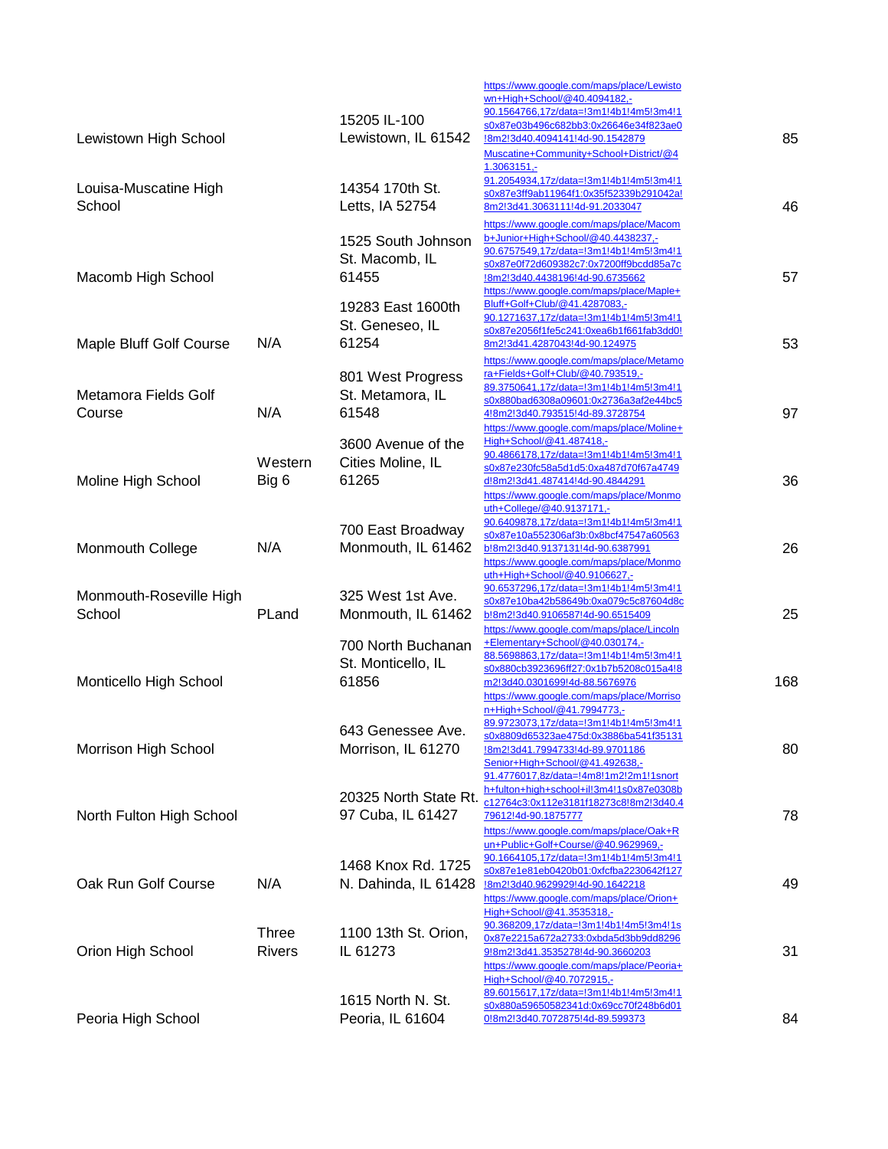| Lewistown High School             |                               | 15205 IL-100<br>Lewistown, IL 61542               | https://www.google.com/maps/place/Lewisto<br>wn+High+School/@40.4094182,-<br>90.1564766,17z/data=!3m1!4b1!4m5!3m4!1<br>s0x87e03b496c682bb3:0x26646e34f823ae0<br>!8m2!3d40.4094141!4d-90.1542879<br>Muscatine+Community+School+District/@4        | 85  |
|-----------------------------------|-------------------------------|---------------------------------------------------|--------------------------------------------------------------------------------------------------------------------------------------------------------------------------------------------------------------------------------------------------|-----|
| Louisa-Muscatine High<br>School   |                               | 14354 170th St.<br>Letts, IA 52754                | $1.3063151,-$<br>91.2054934,17z/data=!3m1!4b1!4m5!3m4!1<br>s0x87e3ff9ab11964f1:0x35f52339b291042a!<br>8m2!3d41.3063111!4d-91.2033047                                                                                                             | 46  |
| Macomb High School                |                               | 1525 South Johnson<br>St. Macomb, IL<br>61455     | https://www.google.com/maps/place/Macom<br>b+Junior+High+School/@40.4438237,-<br>90.6757549,17z/data=!3m1!4b1!4m5!3m4!1<br>s0x87e0f72d609382c7:0x7200ff9bcdd85a7c<br>!8m2!3d40.4438196!4d-90.6735662<br>https://www.google.com/maps/place/Maple+ | 57  |
| Maple Bluff Golf Course           | N/A                           | 19283 East 1600th<br>St. Geneseo, IL<br>61254     | Bluff+Golf+Club/@41.4287083,-<br>90.1271637,17z/data=!3m1!4b1!4m5!3m4!1<br>s0x87e2056f1fe5c241:0xea6b1f661fab3dd0!<br>8m2!3d41.4287043!4d-90.124975                                                                                              | 53  |
| Metamora Fields Golf<br>Course    | N/A                           | 801 West Progress<br>St. Metamora, IL<br>61548    | https://www.google.com/maps/place/Metamo<br>ra+Fields+Golf+Club/@40.793519.-<br>89.3750641,17z/data=!3m1!4b1!4m5!3m4!1<br>s0x880bad6308a09601:0x2736a3af2e44bc5<br>4!8m2!3d40.793515!4d-89.3728754                                               | 97  |
| Moline High School                | Western<br>Big 6              | 3600 Avenue of the<br>Cities Moline, IL<br>61265  | https://www.google.com/maps/place/Moline+<br>High+School/@41.487418.-<br>90.4866178,17z/data=!3m1!4b1!4m5!3m4!1<br>s0x87e230fc58a5d1d5:0xa487d70f67a4749<br>d!8m2!3d41.487414!4d-90.4844291<br>https://www.google.com/maps/place/Monmo           | 36  |
| Monmouth College                  | N/A                           | 700 East Broadway<br>Monmouth, IL 61462           | uth+College/@40.9137171,-<br>90.6409878,17z/data=!3m1!4b1!4m5!3m4!1<br>s0x87e10a552306af3b:0x8bcf47547a60563<br>b!8m2!3d40.9137131!4d-90.6387991<br>https://www.google.com/maps/place/Monmo<br>uth+High+School/@40.9106627,-                     | 26  |
| Monmouth-Roseville High<br>School | PLand                         | 325 West 1st Ave.<br>Monmouth, IL 61462           | 90.6537296,17z/data=!3m1!4b1!4m5!3m4!1<br>s0x87e10ba42b58649b:0xa079c5c87604d8c<br>b!8m2!3d40.9106587!4d-90.6515409<br>https://www.google.com/maps/place/Lincoln                                                                                 | 25  |
| Monticello High School            |                               | 700 North Buchanan<br>St. Monticello, IL<br>61856 | +Elementary+School/@40.030174,-<br>88.5698863,17z/data=!3m1!4b1!4m5!3m4!1<br>s0x880cb3923696ff27:0x1b7b5208c015a4!8<br>m2!3d40.0301699!4d-88.5676976<br>https://www.google.com/maps/place/Morriso<br>n+High+School/@41.7994773,-                 | 168 |
| Morrison High School              |                               | 643 Genessee Ave.<br>Morrison, IL 61270           | 89 9723073 177/data-13m114h114m513m411<br>s0x8809d65323ae475d:0x3886ba541f35131<br>!8m2!3d41.7994733!4d-89.9701186<br>Senior+High+School/@41.492638,-<br>91.4776017,8z/data=!4m8!1m2!2m1!1snort                                                  | 80  |
| North Fulton High School          |                               | 20325 North State Rt.<br>97 Cuba, IL 61427        | h+fulton+high+school+il!3m4!1s0x87e0308b<br>c12764c3:0x112e3181f18273c8!8m2!3d40.4<br>79612!4d-90.1875777<br>https://www.google.com/maps/place/Oak+R                                                                                             | 78  |
| Oak Run Golf Course               | N/A                           | 1468 Knox Rd. 1725<br>N. Dahinda, IL 61428        | un+Public+Golf+Course/@40.9629969,-<br>90.1664105,17z/data=!3m1!4b1!4m5!3m4!1<br>s0x87e1e81eb0420b01:0xfcfba2230642f127<br>!8m2!3d40.9629929!4d-90.1642218<br>https://www.google.com/maps/place/Orion+<br>High+School/@41.3535318,-              | 49  |
| Orion High School                 | <b>Three</b><br><b>Rivers</b> | 1100 13th St. Orion,<br>IL 61273                  | 90.368209,17z/data=!3m1!4b1!4m5!3m4!1s<br>0x87e2215a672a2733:0xbda5d3bb9dd8296<br>9!8m2!3d41.3535278!4d-90.3660203<br>https://www.google.com/maps/place/Peoria+                                                                                  | 31  |
| Peoria High School                |                               | 1615 North N. St.<br>Peoria, IL 61604             | High+School/@40.7072915,-<br>89.6015617,17z/data=!3m1!4b1!4m5!3m4!1<br>s0x880a59650582341d:0x69cc70f248b6d01<br>0!8m2!3d40.7072875!4d-89.599373                                                                                                  | 84  |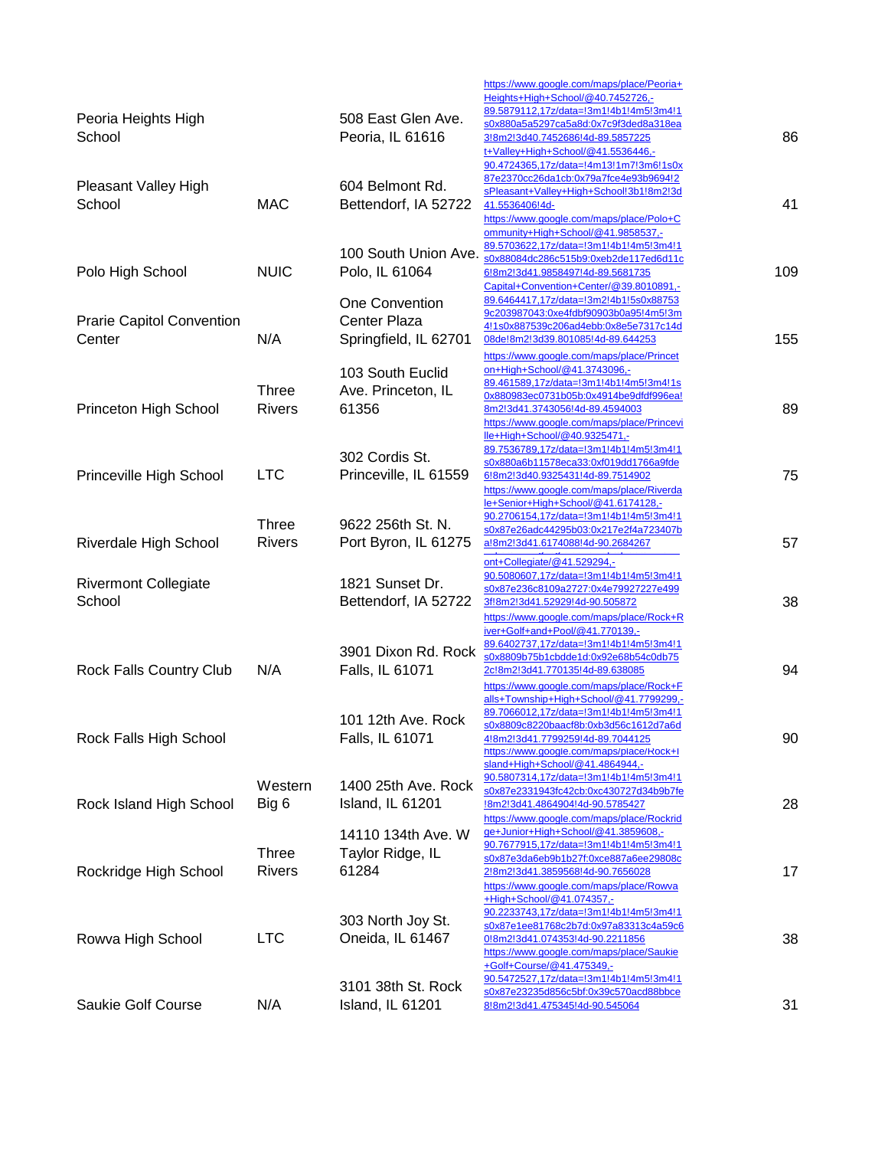| Peoria Heights High<br>School              |                               | 508 East Glen Ave.<br>Peoria, IL 61616                         | https://www.google.com/maps/place/Peoria+<br>Heights+High+School/@40.7452726,-<br>89.5879112,17z/data=!3m1!4b1!4m5!3m4!1<br>s0x880a5a5297ca5a8d:0x7c9f3ded8a318ea<br>3!8m2!3d40.7452686!4d-89.5857225<br>t+Valley+High+School/@41.5536446,-     | 86  |
|--------------------------------------------|-------------------------------|----------------------------------------------------------------|-------------------------------------------------------------------------------------------------------------------------------------------------------------------------------------------------------------------------------------------------|-----|
| Pleasant Valley High<br>School             | <b>MAC</b>                    | 604 Belmont Rd.<br>Bettendorf, IA 52722                        | 90.4724365,17z/data=!4m13!1m7!3m6!1s0x<br>87e2370cc26da1cb:0x79a7fce4e93b9694!2<br>sPleasant+Valley+High+School!3b1!8m2!3d<br>41.5536406!4d-<br>https://www.google.com/maps/place/Polo+C<br>ommunity+High+School/@41.9858537,-                  | 41  |
| Polo High School                           | <b>NUIC</b>                   | 100 South Union Ave.<br>Polo, IL 61064                         | 89.5703622,17z/data=!3m1!4b1!4m5!3m4!1<br>s0x88084dc286c515b9:0xeb2de117ed6d11c<br>6!8m2!3d41.9858497!4d-89.5681735<br>Capital+Convention+Center/@39.8010891,-                                                                                  | 109 |
| <b>Prarie Capitol Convention</b><br>Center | N/A                           | One Convention<br><b>Center Plaza</b><br>Springfield, IL 62701 | 89.6464417,17z/data=!3m2!4b1!5s0x88753<br>9c203987043:0xe4fdbf90903b0a95!4m5!3m<br>4!1s0x887539c206ad4ebb:0x8e5e7317c14d<br>08de!8m2!3d39.801085!4d-89.644253<br>https://www.google.com/maps/place/Princet                                      | 155 |
| Princeton High School                      | Three<br><b>Rivers</b>        | 103 South Euclid<br>Ave. Princeton, IL<br>61356                | on+High+School/@41.3743096,-<br>89.461589,17z/data=!3m1!4b1!4m5!3m4!1s<br>0x880983ec0731b05b:0x4914be9dfdf996ea!<br>8m2!3d41.3743056!4d-89.4594003                                                                                              | 89  |
| Princeville High School                    | <b>LTC</b>                    | 302 Cordis St.<br>Princeville, IL 61559                        | https://www.google.com/maps/place/Princevi<br>lle+High+School/@40.9325471,-<br>89.7536789,17z/data=!3m1!4b1!4m5!3m4!1<br>s0x880a6b11578eca33:0xf019dd1766a9fde<br>6!8m2!3d40.9325431!4d-89.7514902<br>https://www.google.com/maps/place/Riverda | 75  |
| Riverdale High School                      | <b>Three</b><br><b>Rivers</b> | 9622 256th St. N.<br>Port Byron, IL 61275                      | le+Senior+High+School/@41.6174128,-<br>90.2706154,17z/data=!3m1!4b1!4m5!3m4!1<br>s0x87e26adc44295b03:0x217e2f4a723407b<br>a!8m2!3d41.6174088!4d-90.2684267<br>ont+Collegiate/@41.529294,-                                                       | 57  |
| <b>Rivermont Collegiate</b><br>School      |                               | 1821 Sunset Dr.<br>Bettendorf, IA 52722                        | 90.5080607,17z/data=!3m1!4b1!4m5!3m4!1<br>s0x87e236c8109a2727:0x4e79927227e499<br>3f!8m2!3d41.52929!4d-90.505872<br>https://www.google.com/maps/place/Rock+R                                                                                    | 38  |
| Rock Falls Country Club                    | N/A                           | 3901 Dixon Rd. Rock<br>Falls, IL 61071                         | iver+Golf+and+Pool/@41.770139,-<br>89.6402737,17z/data=!3m1!4b1!4m5!3m4!1<br>s0x8809b75b1cbdde1d:0x92e68b54c0db75<br>2c!8m2!3d41.770135!4d-89.638085<br>https://www.google.com/maps/place/Rock+F<br>alls+Township+High+School/@41.7799299,-     | 94  |
| Rock Falls High School                     |                               | 101 12th Ave. Rock<br>Falls, IL 61071                          | 89.7066012,17z/data=!3m1!4b1!4m5!3m4!1<br>s0x8809c8220baacf8b:0xb3d56c1612d7a6d<br>4!8m2!3d41.7799259!4d-89.7044125<br>https://www.google.com/maps/place/Rock+I<br>sland+High+School/@41.4864944,-                                              | 90  |
| Rock Island High School                    | Western<br>Big 6              | 1400 25th Ave. Rock<br>Island, IL 61201                        | 90.5807314,17z/data=!3m1!4b1!4m5!3m4!1<br>s0x87e2331943fc42cb:0xc430727d34b9b7fe<br>!8m2!3d41.4864904!4d-90.5785427<br>https://www.google.com/maps/place/Rockrid                                                                                | 28  |
| Rockridge High School                      | <b>Three</b><br><b>Rivers</b> | 14110 134th Ave. W<br>Taylor Ridge, IL<br>61284                | qe+Junior+High+School/@41.3859608,-<br>90.7677915,17z/data=!3m1!4b1!4m5!3m4!1<br>s0x87e3da6eb9b1b27f:0xce887a6ee29808c<br>2!8m2!3d41.3859568!4d-90.7656028<br>https://www.google.com/maps/place/Rowva<br>+High+School/@41.074357,-              | 17  |
| Rowva High School                          | <b>LTC</b>                    | 303 North Joy St.<br>Oneida, IL 61467                          | 90.2233743,17z/data=!3m1!4b1!4m5!3m4!1<br>s0x87e1ee81768c2b7d:0x97a83313c4a59c6<br>0!8m2!3d41.074353!4d-90.2211856<br>https://www.google.com/maps/place/Saukie<br>+Golf+Course/@41.475349,-                                                     | 38  |
| Saukie Golf Course                         | N/A                           | 3101 38th St. Rock<br>Island, IL 61201                         | 90.5472527,17z/data=!3m1!4b1!4m5!3m4!1<br>s0x87e23235d856c5bf:0x39c570acd88bbce<br>8!8m2!3d41.475345!4d-90.545064                                                                                                                               | 31  |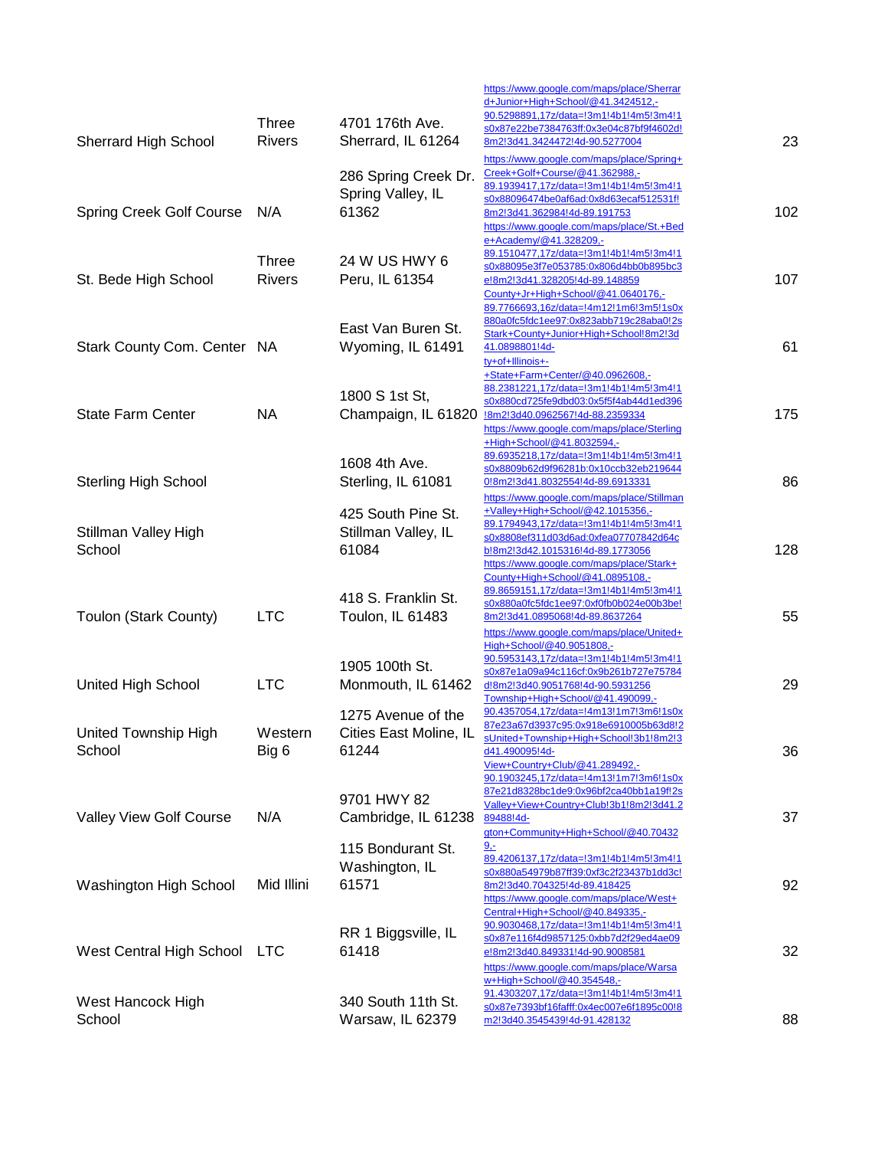|                                 |               |                                              | https://www.google.com/maps/place/Sherrar<br>d+Junior+High+School/@41.3424512,-                   |     |
|---------------------------------|---------------|----------------------------------------------|---------------------------------------------------------------------------------------------------|-----|
|                                 | <b>Three</b>  | 4701 176th Ave.                              | 90.5298891,17z/data=!3m1!4b1!4m5!3m4!1<br>s0x87e22be7384763ff:0x3e04c87bf9f4602d!                 |     |
| <b>Sherrard High School</b>     | <b>Rivers</b> | Sherrard, IL 61264                           | 8m2!3d41.3424472!4d-90.5277004<br>https://www.google.com/maps/place/Spring+                       | 23  |
|                                 |               | 286 Spring Creek Dr.                         | Creek+Golf+Course/@41.362988,-<br>89.1939417,17z/data=!3m1!4b1!4m5!3m4!1                          |     |
| <b>Spring Creek Golf Course</b> | N/A           | Spring Valley, IL<br>61362                   | s0x88096474be0af6ad:0x8d63ecaf512531f!<br>8m2!3d41.362984!4d-89.191753                            | 102 |
|                                 |               |                                              | https://www.google.com/maps/place/St.+Bed                                                         |     |
|                                 | <b>Three</b>  | 24 W US HWY 6                                | e+Academy/@41.328209,-<br>89.1510477,17z/data=!3m1!4b1!4m5!3m4!1                                  |     |
| St. Bede High School            | <b>Rivers</b> | Peru, IL 61354                               | s0x88095e3f7e053785:0x806d4bb0b895bc3<br>e!8m2!3d41.328205!4d-89.148859                           | 107 |
|                                 |               |                                              | County+Jr+High+School/@41.0640176,-<br>89.7766693,16z/data=!4m12!1m6!3m5!1s0x                     |     |
|                                 |               | East Van Buren St.                           | 880a0fc5fdc1ee97:0x823abb719c28aba0!2s<br>Stark+County+Junior+High+School!8m2!3d                  |     |
| Stark County Com. Center NA     |               | Wyoming, IL 61491                            | 41.0898801!4d-<br>ty+of+Illinois+-                                                                | 61  |
|                                 |               |                                              | +State+Farm+Center/@40.0962608,-                                                                  |     |
|                                 |               | 1800 S 1st St,                               | 88.2381221,17z/data=!3m1!4b1!4m5!3m4!1<br>s0x880cd725fe9dbd03:0x5f5f4ab44d1ed396                  |     |
| <b>State Farm Center</b>        | <b>NA</b>     |                                              | Champaign, IL 61820  8m213d40.0962567!4d-88.2359334<br>https://www.google.com/maps/place/Sterling | 175 |
|                                 |               |                                              | +High+School/@41.8032594,-<br>89.6935218,17z/data=!3m1!4b1!4m5!3m4!1                              |     |
| <b>Sterling High School</b>     |               | 1608 4th Ave.<br>Sterling, IL 61081          | s0x8809b62d9f96281b:0x10ccb32eb219644<br>0!8m2!3d41.8032554!4d-89.6913331                         | 86  |
|                                 |               |                                              | https://www.google.com/maps/place/Stillman<br>+Valley+High+School/@42.1015356,-                   |     |
| <b>Stillman Valley High</b>     |               | 425 South Pine St.<br>Stillman Valley, IL    | 89.1794943,17z/data=!3m1!4b1!4m5!3m4!1                                                            |     |
| School                          |               | 61084                                        | s0x8808ef311d03d6ad:0xfea07707842d64c<br>b!8m2!3d42.1015316!4d-89.1773056                         | 128 |
|                                 |               |                                              | https://www.google.com/maps/place/Stark+<br>County+High+School/@41.0895108,-                      |     |
|                                 |               | 418 S. Franklin St.                          | 89.8659151,17z/data=!3m1!4b1!4m5!3m4!1<br>s0x880a0fc5fdc1ee97:0xf0fb0b024e00b3be!                 |     |
| Toulon (Stark County)           | <b>LTC</b>    | Toulon, IL 61483                             | 8m2!3d41.0895068!4d-89.8637264<br>https://www.google.com/maps/place/United+                       | 55  |
|                                 |               |                                              | High+School/@40.9051808,-<br>90.5953143,17z/data=!3m1!4b1!4m5!3m4!1                               |     |
| United High School              | <b>LTC</b>    | 1905 100th St.<br>Monmouth, IL 61462         | s0x87e1a09a94c116cf:0x9b261b727e75784<br>d!8m2!3d40.9051768!4d-90.5931256                         | 29  |
|                                 |               |                                              | Township+High+School/@41.490099,-                                                                 |     |
| United Township High            | Western       | 1275 Avenue of the<br>Cities East Moline, IL | 90.4357054,17z/data=!4m13!1m7!3m6!1s0x<br>87e23a67d3937c95:0x918e6910005b63d8l2                   |     |
| School                          | Big 6         | 61244                                        | sUnited+Township+High+School!3b1!8m2!3<br>d41.490095!4d-                                          | 36  |
|                                 |               |                                              | View+Country+Club/@41.289492,-<br>90.1903245,17z/data=!4m13!1m7!3m6!1s0x                          |     |
|                                 |               | 9701 HWY 82                                  | 87e21d8328bc1de9:0x96bf2ca40bb1a19f!2s<br>Valley+View+Country+Club!3b1!8m2!3d41.2                 |     |
| Valley View Golf Course         | N/A           | Cambridge, IL 61238                          | 89488!4d-<br>gton+Community+High+School/@40.70432                                                 | 37  |
|                                 |               | 115 Bondurant St.                            | <u>g.-</u><br>89.4206137,17z/data=!3m1!4b1!4m5!3m4!1                                              |     |
| Washington High School          | Mid Illini    | Washington, IL<br>61571                      | s0x880a54979b87ff39:0xf3c2f23437b1dd3c!<br>8m2!3d40.704325!4d-89.418425                           | 92  |
|                                 |               |                                              | https://www.google.com/maps/place/West+                                                           |     |
|                                 |               | RR 1 Biggsville, IL                          | Central+High+School/@40.849335,-<br><u>90.9030468,17z/data=!3m1!4b1!4m5!3m4!1</u>                 |     |
| West Central High School LTC    |               | 61418                                        | <u>s0x87e116f4d9857125:0xbb7d2f29ed4ae09</u><br>e!8m2!3d40.849331!4d-90.9008581                   | 32  |
|                                 |               |                                              | https://www.google.com/maps/place/Warsa<br>w+High+School/@40.354548,-                             |     |
| West Hancock High               |               | 340 South 11th St.                           | 91.4303207,17z/data=!3m1!4b1!4m5!3m4!1<br>s0x87e7393bf16fafff:0x4ec007e6f1895c00!8                |     |
| School                          |               | Warsaw, IL 62379                             | m2!3d40.3545439!4d-91.428132                                                                      | 88  |